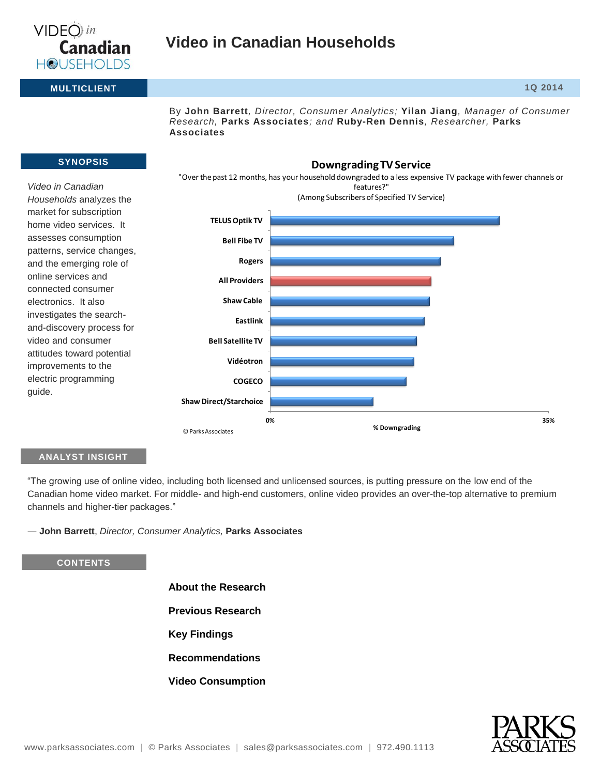

## **Video in Canadian Households**

**MULTICLIENT 1Q 2014**

By **John Barrett***, Director, Consumer Analytics;* **Yilan Jiang***, Manager of Consumer Research,* **Parks Associates***; and* **Ruby-Ren Dennis***, Researcher,* **Parks Associates**

**Downgrading TV Service**

#### **SYNOPSIS**

*Video in Canadian Households* analyzes the market for subscription home video services. It assesses consumption patterns, service changes, and the emerging role of online services and connected consumer electronics. It also investigates the searchand-discovery process for video and consumer attitudes toward potential improvements to the electric programming guide.



#### **ANALYST INSIGHT**

"The growing use of online video, including both licensed and unlicensed sources, is putting pressure on the low end of the Canadian home video market. For middle- and high-end customers, online video provides an over-the-top alternative to premium channels and higher-tier packages."

― **John Barrett**, *Director, Consumer Analytics,* **Parks Associates**

#### **CONTENTS**

**About the Research Previous Research Key Findings Recommendations Video Consumption**

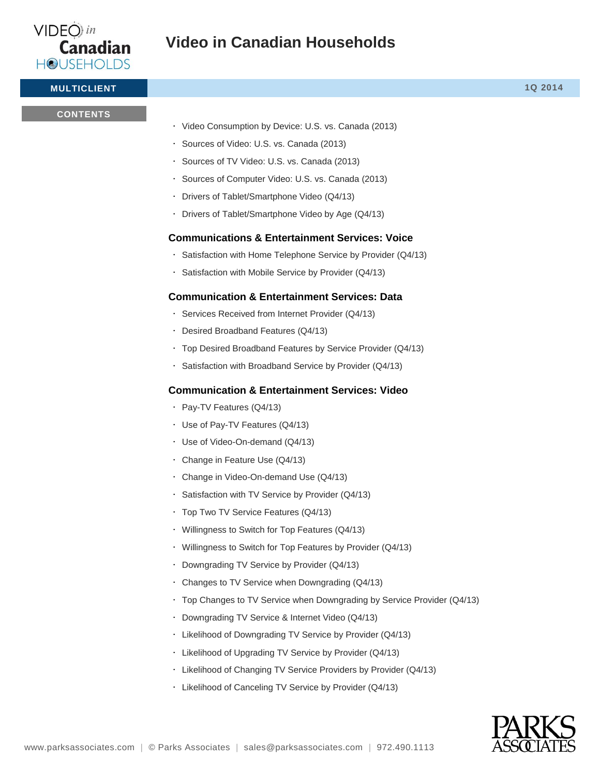

**MULTICLIENT 1Q 2014**

### **CONTENTS**

- Video Consumption by Device: U.S. vs. Canada (2013)
- Sources of Video: U.S. vs. Canada (2013)
- Sources of TV Video: U.S. vs. Canada (2013)
- Sources of Computer Video: U.S. vs. Canada (2013)
- Drivers of Tablet/Smartphone Video (Q4/13)
- Drivers of Tablet/Smartphone Video by Age (Q4/13)

## **Communications & Entertainment Services: Voice**

- Satisfaction with Home Telephone Service by Provider  $(Q4/13)$
- Satisfaction with Mobile Service by Provider (Q4/13)

## **Communication & Entertainment Services: Data**

- Services Received from Internet Provider (Q4/13)
- Desired Broadband Features (Q4/13)
- Top Desired Broadband Features by Service Provider (Q4/13)
- Satisfaction with Broadband Service by Provider (Q4/13)

## **Communication & Entertainment Services: Video**

- Pay-TV Features (Q4/13)
- Use of Pay-TV Features (Q4/13)
- Use of Video-On-demand (Q4/13)
- Change in Feature Use (Q4/13)
- Change in Video-On-demand Use (Q4/13)
- Satisfaction with TV Service by Provider (Q4/13)
- Top Two TV Service Features (Q4/13)
- Willingness to Switch for Top Features (Q4/13)
- Willingness to Switch for Top Features by Provider (Q4/13)
- Downgrading TV Service by Provider (Q4/13)
- Changes to TV Service when Downgrading (Q4/13)
- Top Changes to TV Service when Downgrading by Service Provider (Q4/13)
- Downgrading TV Service & Internet Video (Q4/13)
- Likelihood of Downgrading TV Service by Provider (Q4/13)
- Likelihood of Upgrading TV Service by Provider (Q4/13)
- Likelihood of Changing TV Service Providers by Provider (Q4/13)
- Likelihood of Canceling TV Service by Provider (Q4/13)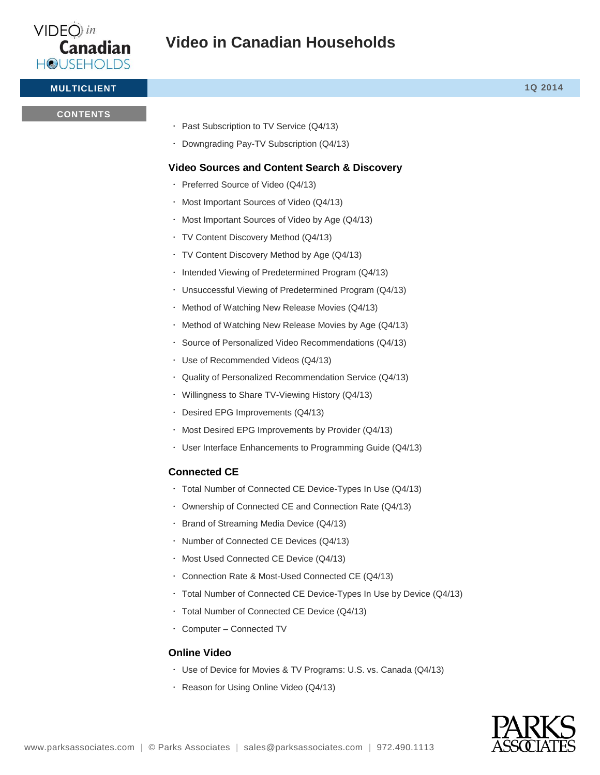

**MULTICLIENT 1Q 2014**

#### **CONTENTS**

- Past Subscription to TV Service (Q4/13)
- Downgrading Pay-TV Subscription (Q4/13)

## **Video Sources and Content Search & Discovery**

- Preferred Source of Video (Q4/13)
- Most Important Sources of Video (Q4/13)
- Most Important Sources of Video by Age (Q4/13)
- TV Content Discovery Method (Q4/13)
- TV Content Discovery Method by Age (Q4/13)
- · Intended Viewing of Predetermined Program (Q4/13)
- Unsuccessful Viewing of Predetermined Program (Q4/13)
- Method of Watching New Release Movies (Q4/13)
- Method of Watching New Release Movies by Age (Q4/13)
- Source of Personalized Video Recommendations (Q4/13)
- Use of Recommended Videos (Q4/13)
- Quality of Personalized Recommendation Service (Q4/13)
- Willingness to Share TV-Viewing History (Q4/13)
- Desired EPG Improvements (Q4/13)
- Most Desired EPG Improvements by Provider (Q4/13)
- User Interface Enhancements to Programming Guide (Q4/13)

#### **Connected CE**

- Total Number of Connected CE Device-Types In Use (Q4/13)
- Ownership of Connected CE and Connection Rate (Q4/13)
- $\cdot$  Brand of Streaming Media Device (Q4/13)
- . Number of Connected CE Devices (Q4/13)
- Most Used Connected CE Device (Q4/13)
- Connection Rate & Most-Used Connected CE (Q4/13)
- Total Number of Connected CE Device-Types In Use by Device (Q4/13)
- Total Number of Connected CE Device (Q4/13)
- Computer Connected TV

#### **Online Video**

- Use of Device for Movies & TV Programs: U.S. vs. Canada (Q4/13)
- Reason for Using Online Video (Q4/13)

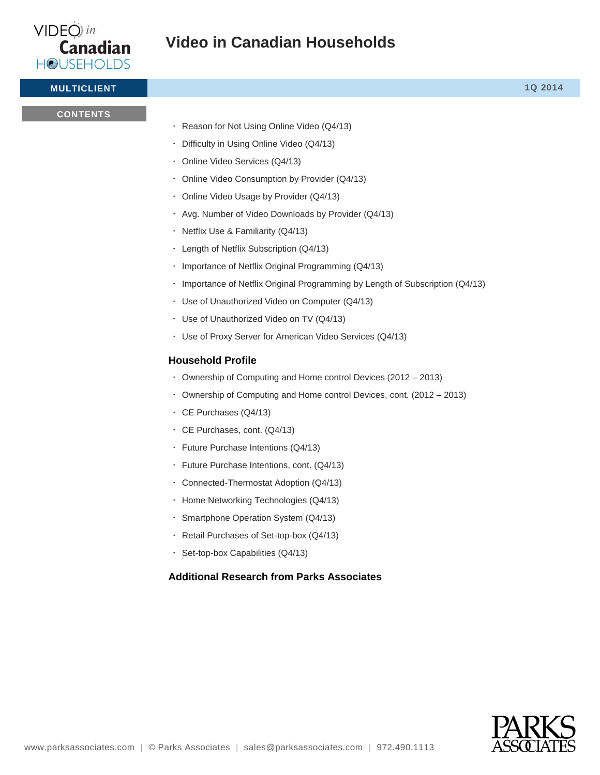

**MULTICLIENT 1Q 2014**

#### **CONTENTS**

Reason for Not Using Online Video (Q4/13)

- Difficulty in Using Online Video (Q4/13)
- Online Video Services (Q4/13)
- Online Video Consumption by Provider (Q4/13)
- Online Video Usage by Provider (Q4/13)
- Avg. Number of Video Downloads by Provider (Q4/13)
- Netflix Use & Familiarity (Q4/13)
- Length of Netflix Subscription (Q4/13)
- . Importance of Netflix Original Programming (Q4/13)
- Importance of Netflix Original Programming by Length of Subscription (Q4/13)
- Use of Unauthorized Video on Computer (Q4/13)
- Use of Unauthorized Video on TV (Q4/13)
- Use of Proxy Server for American Video Services (Q4/13)

## **Household Profile**

- Ownership of Computing and Home control Devices (2012 2013)
- Ownership of Computing and Home control Devices, cont. (2012 2013)
- CE Purchases (Q4/13)
- CE Purchases, cont. (Q4/13)
- Future Purchase Intentions (Q4/13)
- Future Purchase Intentions, cont. (Q4/13)
- Connected-Thermostat Adoption (Q4/13)
- · Home Networking Technologies (Q4/13)
- Smartphone Operation System (Q4/13)
- Retail Purchases of Set-top-box (Q4/13)
- Set-top-box Capabilities (Q4/13)

## **Additional Research from Parks Associates**